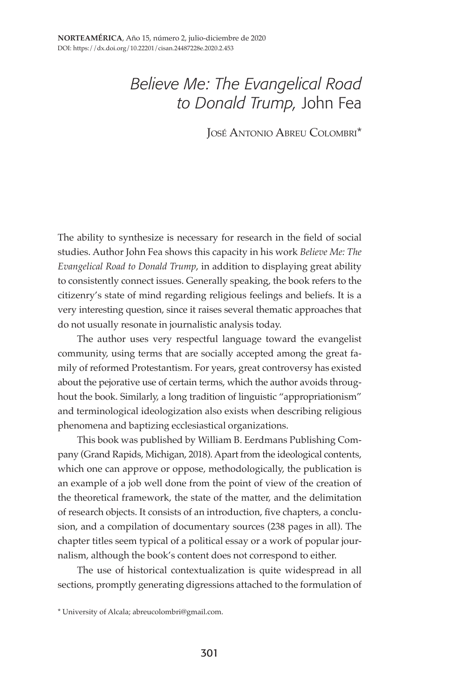## *Believe Me: The Evangelical Road to Donald Trump,* John Fea

José Antonio Abreu Colombri\*

The ability to synthesize is necessary for research in the field of social studies. Author John Fea shows this capacity in his work *Believe Me: The Evangelical Road to Donald Trump*, in addition to displaying great ability to consistently connect issues. Generally speaking, the book refers to the citizenry's state of mind regarding religious feelings and beliefs. It is a very interesting question, since it raises several thematic approaches that do not usually resonate in journalistic analysis today.

The author uses very respectful language toward the evangelist community, using terms that are socially accepted among the great family of reformed Protestantism. For years, great controversy has existed about the pejorative use of certain terms, which the author avoids throughout the book. Similarly, a long tradition of linguistic "appropriationism" and terminological ideologization also exists when describing religious phenomena and baptizing ecclesiastical organizations.

This book was published by William B. Eerdmans Publishing Company (Grand Rapids, Michigan, 2018). Apart from the ideological contents, which one can approve or oppose, methodologically, the publication is an example of a job well done from the point of view of the creation of the theoretical framework, the state of the matter, and the delimitation of research objects. It consists of an introduction, five chapters, a conclusion, and a compilation of documentary sources (238 pages in all). The chapter titles seem typical of a political essay or a work of popular journalism, although the book's content does not correspond to either.

The use of historical contextualization is quite widespread in all sections, promptly generating digressions attached to the formulation of

<sup>\*</sup> University of Alcala; abreucolombri@gmail.com.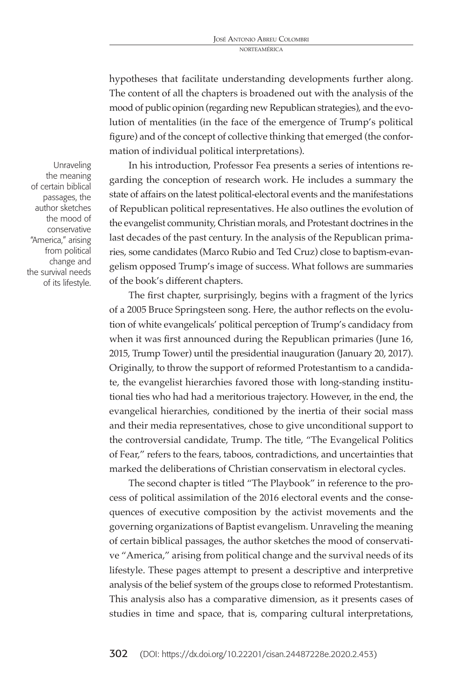hypotheses that facilitate understanding developments further along. The content of all the chapters is broadened out with the analysis of the mood of public opinion (regarding new Republican strategies), and the evolution of mentalities (in the face of the emergence of Trump's political figure) and of the concept of collective thinking that emerged (the conformation of individual political interpretations).

In his introduction, Professor Fea presents a series of intentions regarding the conception of research work. He includes a summary the state of affairs on the latest political-electoral events and the manifestations of Republican political representatives. He also outlines the evolution of the evangelist community, Christian morals, and Protestant doctrines in the last decades of the past century. In the analysis of the Republican primaries, some candidates (Marco Rubio and Ted Cruz) close to baptism-evangelism opposed Trump's image of success. What follows are summaries of the book's different chapters.

The first chapter, surprisingly, begins with a fragment of the lyrics of a 2005 Bruce Springsteen song. Here, the author reflects on the evolution of white evangelicals' political perception of Trump's candidacy from when it was first announced during the Republican primaries (June 16, 2015, Trump Tower) until the presidential inauguration (January 20, 2017). Originally, to throw the support of reformed Protestantism to a candidate, the evangelist hierarchies favored those with long-standing institutional ties who had had a meritorious trajectory. However, in the end, the evangelical hierarchies, conditioned by the inertia of their social mass and their media representatives, chose to give unconditional support to the controversial candidate, Trump. The title, "The Evangelical Politics of Fear," refers to the fears, taboos, contradictions, and uncertainties that marked the deliberations of Christian conservatism in electoral cycles.

The second chapter is titled "The Playbook" in reference to the process of political assimilation of the 2016 electoral events and the consequences of executive composition by the activist movements and the governing organizations of Baptist evangelism. Unraveling the meaning of certain biblical passages, the author sketches the mood of conservative "America," arising from political change and the survival needs of its lifestyle. These pages attempt to present a descriptive and interpretive analysis of the belief system of the groups close to reformed Protestantism. This analysis also has a comparative dimension, as it presents cases of studies in time and space, that is, comparing cultural interpretations,

Unraveling the meaning of certain biblical passages, the author sketches the mood of conservative "America," arising from political change and the survival needs of its lifestyle.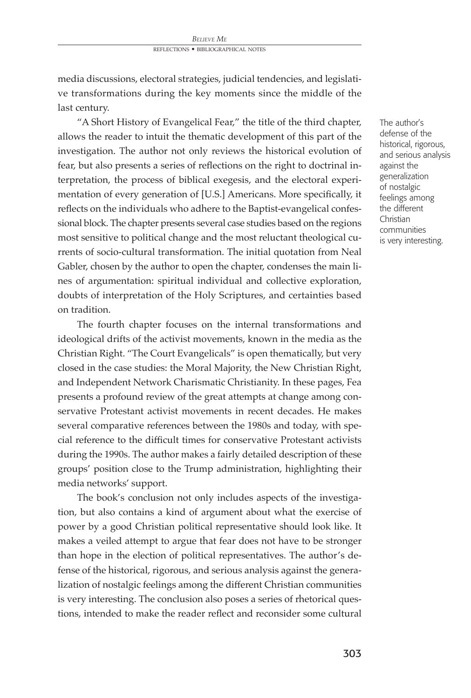media discussions, electoral strategies, judicial tendencies, and legislative transformations during the key moments since the middle of the last century.

"A Short History of Evangelical Fear," the title of the third chapter, allows the reader to intuit the thematic development of this part of the investigation. The author not only reviews the historical evolution of fear, but also presents a series of reflections on the right to doctrinal interpretation, the process of biblical exegesis, and the electoral experimentation of every generation of [U.S.] Americans. More specifically, it reflects on the individuals who adhere to the Baptist-evangelical confessional block. The chapter presents several case studies based on the regions most sensitive to political change and the most reluctant theological currents of socio-cultural transformation. The initial quotation from Neal Gabler, chosen by the author to open the chapter, condenses the main lines of argumentation: spiritual individual and collective exploration, doubts of interpretation of the Holy Scriptures, and certainties based on tradition.

The fourth chapter focuses on the internal transformations and ideological drifts of the activist movements, known in the media as the Christian Right. "The Court Evangelicals" is open thematically, but very closed in the case studies: the Moral Majority, the New Christian Right, and Independent Network Charismatic Christianity. In these pages, Fea presents a profound review of the great attempts at change among conservative Protestant activist movements in recent decades. He makes several comparative references between the 1980s and today, with special reference to the difficult times for conservative Protestant activists during the 1990s. The author makes a fairly detailed description of these groups' position close to the Trump administration, highlighting their media networks' support.

The book's conclusion not only includes aspects of the investigation, but also contains a kind of argument about what the exercise of power by a good Christian political representative should look like. It makes a veiled attempt to argue that fear does not have to be stronger than hope in the election of political representatives. The author's defense of the historical, rigorous, and serious analysis against the generalization of nostalgic feelings among the different Christian communities is very interesting. The conclusion also poses a series of rhetorical questions, intended to make the reader reflect and reconsider some cultural

The author's defense of the historical, rigorous, and serious analysis against the generalization of nostalgic feelings among the different Christian communities is very interesting.